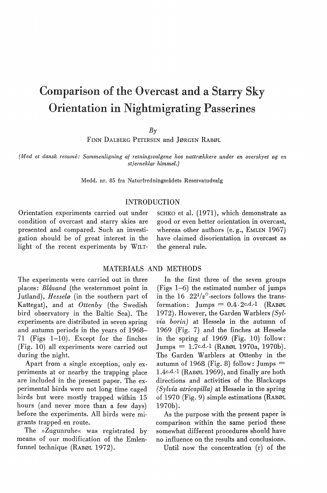# Comparison of the Overcast and a Starry Sky Orientation in Nightmigrating Passerines

 $B<sub>\gamma</sub>$ 

FINN DALBERG PETERSEN and JØRGEN RABØL

*{Med et dansk resume: Sammenligning af retningsvalgene hos nattrækkere under en overskyet og en stjerneklar himmel.)* 

Medd. nr. 85 fra Naturfredningsrådets Reservatudvalg

# INTRODUCTION

Orientation experiments carried out under condition of overcast and starry skies are presented and compared. Such an investigation should be of great interest in the light of the recent experiments by WILT- SCHKO et al. (1971), which demonstrate as good or even better orientation in overcast, whereas other authors (e.g., EMLEN 1967) have claimed disorientation in overcast as the general rule.

## MATERIALS AND METHODS

The experiments were carried out in three places: *Blåvand* (the westernmost point in Jutland), *Hesselø* (in the southern part of Kattegat), and at *Ottenby* (the Swedish hird observatory in the Baltic Sea). The experiments are distributed in seven spring and autumn periods in the years of 1968- 71 (Figs 1-10). Except for the finches (Fig. 10) all experiments were carried out during the night.

Apart from a single exception, only experiments at or nearby the trapping place are included in the present paper. The experimental hirds were not long time caged hirds but were mostly trapped within 15 hours (and never more than a few days) before the experiments. All hirds were migrants trapped en route.

The »Zugunruhe« was registrated by means of our modification of the Emlenfunnel technique (RABØL 1972).

In the first three of the seven groups (Figs 1-6) the estimated number of jumps in the  $16 \overline{)22^{1/2}}$ -sectors follows the transformation: Jumps =  $0.4 \cdot 2c.d.$ -1 (RABØL 1972). However, the Garden Warblers *{Sylvia borin)* at Hesselø in the autumn of 1969 (Fig. 7) and the finches at Hesselø in the spring af 1969 (Fig. 10) follow:  $Jumps = 1.7c.d.1 (RABØL 1970a, 1970b).$ The Garden Warblers at Ottenby in the autumn of 1968 (Fig. 8) follow:  $\text{Jumps} =$ l.4c.d.-l (RABØL 1969), and finally are both directions and activities of the Blackcaps *(Sylvia atricapilla)* at Hesselø in the spring of 1970 (Fig. 9) simple estimations (RABØL 1970b).

As the purpose with the present paper is comparison within the same period these somewhat different procedures should have no influence on the results and conclusions.

Until now the concentration  $(r)$  of the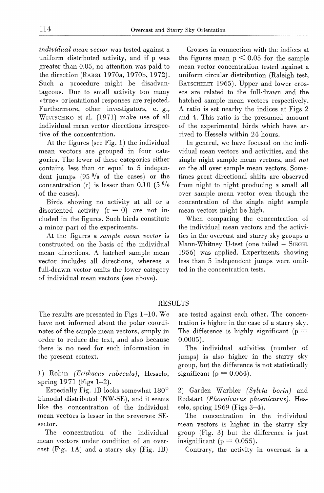*individual mean vector* was tested against a uniform distributed activity, and if p was greater than 0.05, no attention was paid to the direction (RABØL 1970a, 1970b, 1972), Such a procedure might be disadvantageous. Due to small activity too many »true« orientational responses are rejected. Furthermore, other investigators, e. g., WILTSCHKO et al. (1971) make use of all individual mean vector directions irrespective of the concentration.

At the figures (see Fig. 1) the individual mean vectors are grouped in four categories. The lower of these categories either contains less than or equal to 5 independent jumps  $(95 \frac{0}{0})$  of the cases) or the concentration (r) is lesser than 0.10 (5 $\frac{0}{0}$ ) of the cases).

Birds showing no activity at all or a disoriented activity  $(r = 0)$  are not included in the figures. Such hirds constitute a minor part of the experiments.

At the figures a *sample mean vector* is constructed on the basis of the individual mean directions. A hatched sample mean vector includes all directions, whereas a full-drawn vector omits the lower category of individual mean vectors (see above).

Crosses in connection with the indices at the figures mean  $p \leq 0.05$  for the sample mean vector concentration tested against a uniform circular distribution (Raleigh test, BATSCHELET 1965). Upper and lower crosses are related to the full-drawn and the hatched sample mean vectors respectively. A ratio is set nearby the indices at Figs 2 and 4. This ratio is the presumed amount of the experimental hirds which have arrived to Hesselø within 24 hours.

In general, we have focused on the individual mean vectors and activities, and the single night sample mean vectors, and *not*  on the all over sample mean vectors. Sometimes great directional shifts are observed from night to night producing a small all over sample. mean vector even though the concentration of the single night sample mean vectors might be high.

When comparing the concentration of the individual mean vectors and the activities in the overcast and starry sky groups a Mann-Whitney U-test (one tailed - SIEGEL 1956) was applied. Experiments showing less than 5 independent jumps were omitted in the concentration tests.

# RESULTS

The results are presented in Figs 1-10. We have not informed about the polar coordinates of the sample mean vectors, simply in order to reduce the text, and also because there is no need for such information in the present context.

1) Robin *(Erithacus rubecula),* Hesselø, spring 1971 (Figs 1-2).

Especially Fig. lB looks somewhat 180° bimodal distributed (NW-SE), and it seems like the concentration of the individual mean vectors is lesser in the »reverse« SEsector.

The concentration of the individual mean vectors under condition of an overcast (Fig. lA) and a starry sky (Fig. IB) are tested against each other. The concentration is higher in the case of a starry sky. The difference is highly significant ( $p =$ 0.0005).

The individual activities (number of jumps) is also higher in the starry sky group, but the difference is not statistically significant ( $p = 0.064$ ).

2) Garden Warbler *(Sylvia borin)* and Redstart *(Phoenicurus phoenicurus)*. Hesselø, spring 1969 (Figs 3-4).

The concentration in the individual mean vectors is higher in the starry sky group (Fig. 3) but the difference is just insignificant ( $p = 0.055$ ).

Contrary, the activity in overcast is a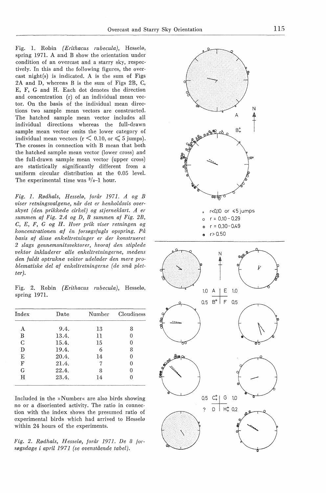Fig. 1. Robin *(Erithacus rubecula),* Hesselø, spring 1971. A and B show the oricntation under condition of an overcast and a starry sky, respectively. In this and the following figures, the overcast night(s) is indicated. A is the sum of Figs 2A and D, whereas B is the sum of Figs 2B, C, E, F, G and H. Each dot denotes the direction and concentration (r) of an individual mean vector. On the basis of the individual mean directions two sample mean vectors are constructed. The hatched sample mean vector includes all individual directions whereas the full-drawn sample mean vector omits the lower category of individual mean vectors ( $r < 0.10$ , or  $\leq 5$  jumps). The crosses in connection with B mean that both the hatched sample mean vector (lower cross) and the full-drawn sample mean vector (upper cross) are statistically significantly different from a uniform circular distribution at the 0.05 level. The experimental time was  $\frac{3}{4}$ -1 hour.

*Fig. 1. Rødhals, Hesselø, forår 1971. A og B viser retningsvalgene, når det er henholdsvis overskyet (den prikkede cirkel) og stjerneklart. A er summen af Fig. 2A og D, B summen af Fig. 2B,*  C, *E, F, G og H. Hver prik viser retningen og koncentrationen af en forsøgsfugls opspring. På basis af disse enkeltretninger er der konstrueret 2 slags gennemsnitsvektorer, hvoraf den stiplede vektor inkluderer alle enkeltretningerne, medens den fuldt optrukne vektor udelader den mere problematiske del af enkeltretningerne (de små pletter).* 

Fig. 2. Robin *(Erithacus rubecula),* Hesselø, spring 1971.

| $_{\rm Index}$ | Date  | Number | Cloudiness |
|----------------|-------|--------|------------|
| А              | 9.4.  | 13     | 8          |
| B              | 13.4. | 11     | 0          |
| C              | 15.4. | 15     | 0          |
| D              | 19.4. | 6      | 8          |
| E              | 20.4. | 14     | 0          |
| $\mathbf{F}$   | 21.4. |        | 0          |
| G              | 22.4. | 8      | O          |
| Ħ              | 23.4. | 14     |            |

Included in the »Numher« are also hirds showing no or a disoriented activity. The ratio in connection with the index shows the presumed ratio of cxperimental hirds which had arrived to Hesselø within 24 hours of the experiments.

*Fig. 2. Rødhals, Hesselø, forår 1971. De 8 forsøgsdage i april 1971 (se ovenstående tabel).* 

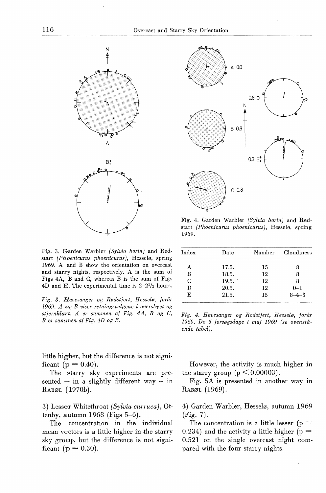

Fig. 3. Garden Warbler *(Sylvia borin)* and Redstart *(Phoenicurus phoenicurus),* Hesselø, spring 1969. A and B show the orientation on overcast and starry nights, respectively. A is the sum of Figs 4A, B and C, whereas B is the sum of Figs 4D and E. The experimental time is  $2-2^{1/2}$  hours.

*Fig. 3. Havesanger og Rødstjert, Hesselø, forår 1969. A og B viser retningsvalgene i overskyet og stjernklart. A er summen af Fig. 4A, B og C, B er summen af Fig. 4D og E.* 

little higher, but the difference is not significant ( $p = 0.40$ ).

The starry sky experiments are presented  $-$  in a slightly different way  $-$  in RABØL (1970b).

3) Lesser Whitethroat *(Sylvia curruca),* Ottenby, autumn 1968 (Figs 5-6).

The concentration in the individual mean vectors is a little higher in the starry sky group, but the difference is not significant ( $p = 0.30$ ).



Fig. 4. Garden Warbler *(Sylvia borin)* and Redstart *(Phoenicurus phoenicurus),* Hesselø, spring 1969.

| Index | Date  | Number | Cloudiness  |
|-------|-------|--------|-------------|
| А     | 17.5. | 15     | 8           |
| в     | 18.5. | 12     | 8           |
| C     | 19.5. | 12     | 8           |
| D     | 20.5. | 12     | $0 - 1$     |
| F.    | 21.5. | 15     | $8 - 4 - 3$ |

*Fig. 4. Havesanger og Rødstjert, Hesselø, forår 1969. De 5 forsøgsdage i maj 1969 (se ovenstående tabel).* 

However, the activiity is much higher in the starry group ( $p \leq 0.00003$ ).

Fig. 5A is presented in another way in RABØL (1969).

4) Garden Warbler, Hesselø, autumn 1969 (Fig. 7).

The concentration is a little lesser ( $p =$ 0.234) and the activity a little higher ( $p =$ 0.521 on the single overcast night compared with the four starry nights.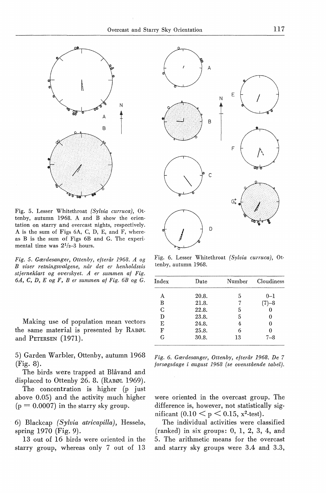

Fig. 5. Lesser Whitethroat *(Sylvia curruca),* Ottenby, autumn 1968. A and B show the orientation on starry and overcast nights, respectively. A is the sum of Figs 6A, C, D, E, and F, whereas B is the sum of Figs 6B and G. The experimental time was  $2^{1/2-3}$  hours.

*Fig. 5. Gærdesanger, Ottenby, efterår 1968. A og B viser retningsvalgene, når det er henholdsvis stjerneklart og overskyet. A er summen af Fig. 6A, C, D, E og F, B er summen af Fig. 6B og G.* 

Making use of population mean vectors the same material is presented by RABØL and PETERSEN (1971).

5) Garden Warbler, Ottenby, autumn 1968 (Fig. 8).

The birds were trapped at Blåvand and displaced to Ottenby 26. 8. (RABØL 1969).

The concentration is higher (p just above 0.05) and the activity much higher  $(p = 0.0007)$  in the starry sky group.

6) Blackcap *(Sylvia atricapilla),* Hesselø, spring 1970 (Fig. 9).

13 out of 16 hirds were oriented in the starry group, whereas only 7 out of 13



Fig. 6. Lesser Whitethroat *(Sylvia curruca),* Ot· tenby, autumn 1968.

| Index | Date  | Number | $\rm Cloudiness$ |
|-------|-------|--------|------------------|
| А     | 20.8. | 5      | $0 - 1$          |
| в     | 21.8. |        | $(7)-8$          |
| C     | 22.8. | 5      | O                |
| D     | 23.8. | 5      | 0                |
| E     | 24.8. | 4      | 0                |
| F     | 25.8. | 6      |                  |
| G     | 30.8. | 13     | 7–8              |

*Fig. 6. Gærdesanger, Ottenby, efterår 1968. De 7 forsøgsdage* i *august 1968 (se ovenstående tabel).* 

were oriented in the overcast group. The difference is, however, not statistically significant  $(0.10 < p < 0.15, x^2$ -test).

The individual activities were classified  $(ranked)$  in six groups: 0, 1, 2, 3, 4, and 5. The arithmetic means for the overcast and starry sky groups were 3.4 and 3.3,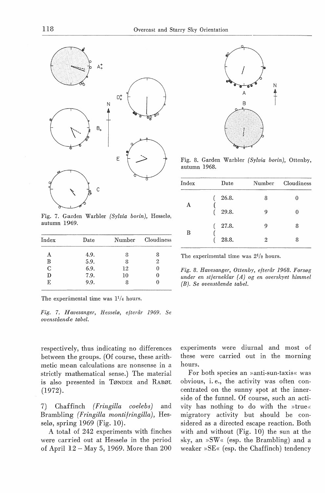

Fig. 7. Garden Warbler *(Sylvia borin),* Hesselø, autumn 1969.

| $_{\rm Index}$ | Date |    | Number Cloudiness |
|----------------|------|----|-------------------|
|                | 4.9. |    |                   |
| В              | 5.9. |    | 2                 |
| C              | 6.9. | 12 |                   |
| D              | 7.9. | 10 |                   |
| Е              | 9.9. |    |                   |
|                |      |    |                   |

The experimental time was  $1^{1/4}$  hours.

*Fig.* 7. *Havesanger, Hesselø, efterår 1969. Se ovenstående tabel.* 

respectively, thus indicating no differences between the groups. (Of course, these arithmetic mean calculations are nonsense in a strictly mathematical sense.) The material is also presented in TØNDER and RABØL (1972).

7) Chaffinch *( Fringilla coelebs)* and Brambling *(Fringilla montifringilla),* Hesselø, spring 1969 (Fig. 10).

A total of 242 experiments with finches were carried out at Hesselø in the period of April 12 - May 5, 1969. More than 200



Fig. 8. Garden Warbler *(Sylvia borin),* Ottenby, autunm 1968.

| $_{\rm Index}$ | Date  | Number | Cloudiness |
|----------------|-------|--------|------------|
|                | 26.8. | 8      |            |
| A              | 29.8. | 9      | 0          |
|                | 27.8. | 9      | 8          |
| В              | 28.8. | 2      | 8          |

The experimental time was  $2^{1/2}$  hours.

*Fig. 8. Havesanger, Ottenby, efterår 1968. Forsøg under en stjerneklar (A) og en overskyet himmel (B). Se ovenstående tabel.* 

experiments were diurnal and most of these were carried out in the morning hours.

For both species an »anti-sun-taxis« was obvious, i. e., the activity was often concentrated on the sunny spot at the innerside of the funnel. Of course, such an activity has nothing to do with the »true« migratory activity but should be considered as a direoted escape reaction. Both with and without  $(Fig. 10)$  the sun at the sky, an  $\gg$ SW« (esp. the Brambling) and a weaker »SE« (esp. the Chaffinch) tendency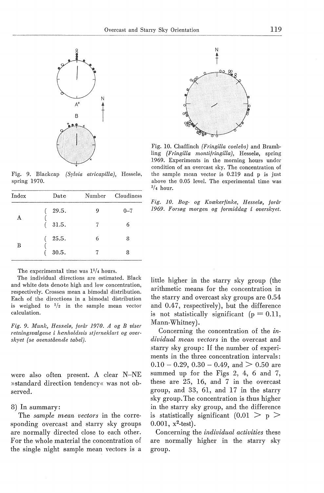

Fig. 9. Blackcap *(Sylvia atricapilla),* Hesselø, spring 1970.

| Index | Date  | Number | Cloudiness |
|-------|-------|--------|------------|
| A     | 29.5. | 9      | $0 - 7$    |
|       | 31.5. | 7      | 6          |
|       | 25.5. | 6      | 8          |
| B     | 30.5. |        | 8          |



Fig. 10. Chaffinch *(Fringilla coelebs)* and Brambling *(Fringilla montifringilla),* Hesselø, spring 1969. Experiments in the morning hours under condition of an overcast sky. The concentration of the sample mean vector is 0.219 and p is just above the 0.05 level. The experimental time was  $\frac{3}{4}$  hour.



The experimental time was  $1^{1/4}$  hours.

The individual directions are estimated. Black and white dots denote high and low concentration, respectively. Crosses mean a bimodal distribution. Each of the directions in a bimodal distribution is weighed to  $\frac{1}{2}$  in the sample mean vector calculation.

*Fig. 9. Munk, Hesselø, forår 1970. A og B viser retningsvalgene* i *henholdsvis stjerneklart og overskyet (se ovenstående tabel).* 

were also often present. A clear N-NE »standard direction tendency« was not observed.

8) In summary:

The *sample mean vectors* in the corresponding overcast and starry sky groups are normally directed close to each other. For the whole material the concentration of the single night sample mean vectors is a

little higher in the starry sky group (the arithmetic means for the concentration in the starry and overcast sky groups are 0.54 and 0.47, respectively), but the difference is not statistically significant ( $p = 0.11$ , Mann-Whitney).

Concerning the concentration of the *individual mean vectors* in the overcast and starry sky group: If the number of experiments in the three concentration intervals:  $0.10 - 0.29$ ,  $0.30 - 0.49$ , and  $> 0.50$  are summed up for the Figs 2, 4, 6 and 7, these are 25, 16, and 7 in the overcast group, and 33, 61, and 17 in the starry sky group. The concentration is thus higher in the starry sky group, and the difference is statistically significant  $(0.01 > p >$  $0.001$ ,  $x^2$ -test).

Concerning the *individual activities* these are normally higher in the starry sky group.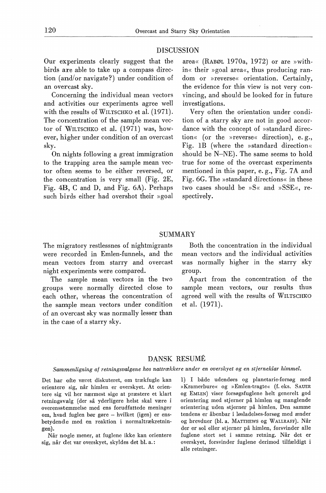#### **DISCUSSION**

Our experiments clearly suggest that the hirds are æble to take up a compass direction ( and/or navigate?) under condition of an overcast sky.

Concerning the individual mean vectors and activities our experiments agree well with the results of WILTSCHKO et al. (1971). The concentration of the sample mean vector of WILTSCHKO et al. (1971) was, however, higher under condition of an overcast sky.

On nights following a great immigration to the trapping area the sample mean vector often seems to he either reversed, or the concentration is very small (Fig. 2E, Fig. 4B, C and D, and Fig. 6A). Perhaps such hirds either had overshot their »goal area« (RABØL 1970a, 1972) or are »within« their »goal area«, thus producing random or »reverse« orientation. Certainly, the evidence for this view is not very convincing, and should be looked for in future investigations.

Very often the orientation under condition of a starry sky are not in good accordance with the concept of »standard direction« (or the »reverse« direction), e.g., Fig. lB (where the »standard direction« should he N-NE). The same seems to hold true for some of the overcast experiments mentioned in this paper, e.g., Fig. 7A and Fig. 6G. The »standard directions« in these two cases should be »S« and »SSE«, respectively.

## SUMMARY

The migratory restlessnes of nightmigrants were recorded in Emlen-funnels, and the mean vectors from starry and overcast night experiments were compared.

The sample mean vectors in the two groups were normally directed dose to each other, whereas the concentration of the sample mean vectors under condition of an overcast sky was normally lesser than in the case of a starry sky.

Both the concentration in the individual mean vectors and the individual activities was normally higher in the starry sky group.

Apart from the concentration of the sample mean vectors, our results thus agreed well with the results of WILTSCHKO et al. (1971).

## DANSK RESUME

#### *Sammenligning af retningsvalgene hos nattrækkere under en overskyet og en stjerneklar himmel.*

Det har ofte været diskuteret, om trækfugle kan orientere sig, når himlen er overskyet. At orientere sig vil her nærmest sige at præstere et klart retningsvalg (der så yderligere helst skal være i overensstemmelse med ens forudfattede meninger om, hvad fuglen bør gøre - hvilket (igen) er ensbetydende med en reaktion i normaltrækretningen).

Når nogle mener, at fuglene ikke kan orientere sig, når det var overskyet, skyldes det bl. a.:

1) I både udendørs og planetarie-forsøg med »Kramerbure« og »Emlen-tragte« (f.eks. SAUER og EMLEN) viser forsøgsfuglene helt generelt god orientering med stjerner på himlen og manglende orientering uden stjerner på himlen. Den samme tendens er åbenbar i løsladelses-forsøg med ænder og brevduer (bl. a. MATTHEWS og WALLRAFF). Når der er sol eller stjerner på himlen, forsvinder alle fuglene stort set i samme retning. Når det er overskyet, forsvinder fuglene derimod tilfældigt i alle retninger.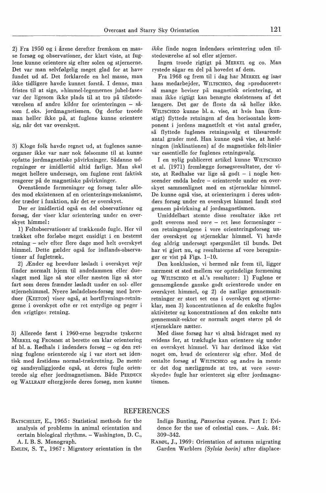2) Fra 1950 og i årene derefter fremkom en masse forsøg og observationer, der klart viste, at fuglene kunne orientere sig efter solen og stjernerne. Det var man selvfølgelig meget glad for at have fundet ud af. Det forklarede en hel masse, man ikke tidligere havde kunnet forstå. I denne, man fristes til at sige, »himmel-legemernes jubel-fase« var der ligesom ikke plads til at tro på tilstedeværelsen af andre kilder for orienteringen - såsom f. eks. jordmagnetismen. Og derfor troede man heller ikke på, at fuglene kunne orientere sig, når det var overskyet.

3) Kloge folk havde regnet ud, at fuglenes sanseorganer ikke var nær nok følsomme til at kunne opfatte jordmagnetiske påvirkninger. Sådanne udregninger er imidlertid altid farlige. Man skal meget hellere undersøge, om fuglene rent faktisk reagerer på de magnetiske påvirkninger.

Ovenstående formeninger og forsøg taler således mod eksistensen af en orienterings-mekanisme, der træder i funktion, når det er overskyet.

Der er imidlertid også en del observationer og forsøg, der viser klar orientering under en overskyet himmel :

1) Feltobservationer af trækkende fugle. Her vil trækket ofte forløbe meget ensidigt i en bestemt retning - selv efter flere dage med helt overskyet himmel. Dette gælder også for indlands-observationer af fugletræk.

2) Ænder og brevduer løsladt i overskyet vejr finder normalt hjem til andedammen eller dueslaget med lige så stor eller næsten lige så stor fart som deres frænder løsladt under en sol- eller stjernehimmel. Nyere løsladelses-forsøg med brevduer (KEETON) viser også, at bortflyvnings-retningerne i overskyet ofte er ret entydige og peger i den »rigtige« retning.

3) Allerede først i 1960-erne begyndte tyskerne MERKEL og FROMME at berette om klar orientering af bl. a. Rødhals i indendørs forsøg - og den retning fuglene orienterede sig i var stort set identisk med årstidens normal-trækretning. De mente og sandsynliggjorde også, at deres fugle orienterede sig efter jordmagnetismen. Både PERDECK og W ALLRAFF eftergjorde deres forsøg, men kunne *ikke* finde nogen indendørs orientering uden tilstedeværelse af sol eller stjerner.

Ingen troede rigtigt på MERKEL og co. Man rystede sågar en del på hovedet af dem.

Fra 1968 og frem til i dag har MERKEL og især hans medarbejder, WILTSCHKO, dog »produceret« så mange beviser på magnetisk orientering, at man ikke rigtigt kan benægte eksistensen af det længere. Det gør de fleste da så heller ikke. WILTSCHKO kunne bl.a. vise, at hvis han (kunstigt) flyttede retningen af den horisontale komponent i jordens magnetfelt et vist antal grader, så flyttede fuglenes retningsvalg et tilsvarende antal grader med. Han kunne også vise, at hældningen (inklinationen) af de magnetiske felt-linier var essentielle for fuglenes retningsvalg.

I en nylig publiceret artikel kunne WrLTSCHKO et al. (1971) fremlægge forsøgsresultater, der viste, at Rødhalse var lige så godt - i nogle henseender endda bedre - orienterede under en overskyet sammenlignet med en stjerneklar himmel. De kunne også vise, at orienteringen i deres udendørs forsøg under en overskyet himmel fandt sted gennem påvirkning af jordmagnetismen.

Umiddelbart stemte disse resultater ikke ret godt overens med *vore* - ret løse formeninger om retningsvalgene i vore orienteringsforsøg under overskyet og stjerneklar himmel. Vi havde dog aldrig undersøgt spørgsmålet til bunds. Det har vi gjort nu, og resultaterne af vore beregninger er vist på Figs. 1-10.

Den konklusion, vi hermed når frem til, ligger nærmest et sted mellem vor oprindelige formening og WILTSCHKO et al.'s resultater: 1) Fuglene er gennemgående ganske godt orienterede under en overskyet himmel, og 2) de natlige gennemsnitretninger er stort set ens i overskyet og stjerneklar, men 3) koncentrationen af de enkelte fugles aktiviteter og koncentrationen af den enkelte nats gennemsnit-vektor er normalt noget større på de stjerneklare nætter.

Med disse forsøg har vi altså bidraget med ny evidens for, at trækfugle kan orientere sig under en overskyet himmel. Vi har derimod ikke vist noget om, hvad de orienterer sig efter. Med de omtalte forsøg af WILTSCHKO og andre in mente er det dog nærliggende at tro, at vore »overskyede« fugle har orienteret sig efter jordmagnetismen.

#### REFERENCES

BATSCHELET, E., 1965: Statistical methods for the analysis of problems in animal orientation and certain biological rhythms. - Washington, D. C., A. I. B. S. Monograph.

EMLEN, S. T., 1967: Migratory orientation in the

Indigo Bunting, *Passerina cyanea.* Part I: Evidence for the use of celestial cues. - Auk. 84: 309-342.

RABØL, J., 1969: Orientation of autumn migrating Garden Warblers *(Sylvia borin)* after displace